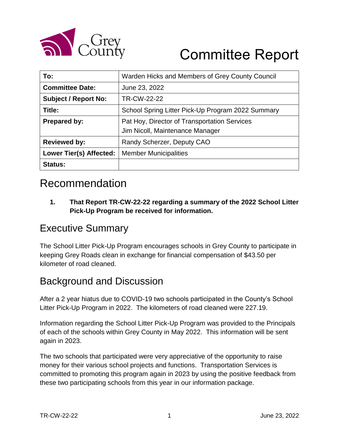

# Committee Report

| To:                            | Warden Hicks and Members of Grey County Council                                 |  |  |
|--------------------------------|---------------------------------------------------------------------------------|--|--|
| <b>Committee Date:</b>         | June 23, 2022                                                                   |  |  |
| <b>Subject / Report No:</b>    | TR-CW-22-22                                                                     |  |  |
| Title:                         | School Spring Litter Pick-Up Program 2022 Summary                               |  |  |
| Prepared by:                   | Pat Hoy, Director of Transportation Services<br>Jim Nicoll, Maintenance Manager |  |  |
| <b>Reviewed by:</b>            | Randy Scherzer, Deputy CAO                                                      |  |  |
| <b>Lower Tier(s) Affected:</b> | <b>Member Municipalities</b>                                                    |  |  |
| <b>Status:</b>                 |                                                                                 |  |  |

## Recommendation

**1. That Report TR-CW-22-22 regarding a summary of the 2022 School Litter Pick-Up Program be received for information.**

#### Executive Summary

The School Litter Pick-Up Program encourages schools in Grey County to participate in keeping Grey Roads clean in exchange for financial compensation of \$43.50 per kilometer of road cleaned.

#### Background and Discussion

After a 2 year hiatus due to COVID-19 two schools participated in the County's School Litter Pick-Up Program in 2022. The kilometers of road cleaned were 227.19.

Information regarding the School Litter Pick-Up Program was provided to the Principals of each of the schools within Grey County in May 2022. This information will be sent again in 2023.

The two schools that participated were very appreciative of the opportunity to raise money for their various school projects and functions. Transportation Services is committed to promoting this program again in 2023 by using the positive feedback from these two participating schools from this year in our information package.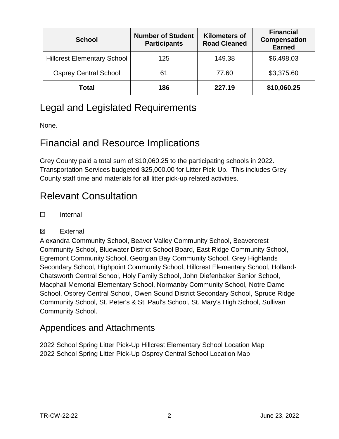| <b>School</b>                      | <b>Number of Student</b><br><b>Participants</b> | <b>Kilometers of</b><br><b>Road Cleaned</b> | <b>Financial</b><br><b>Compensation</b><br><b>Earned</b> |
|------------------------------------|-------------------------------------------------|---------------------------------------------|----------------------------------------------------------|
| <b>Hillcrest Elementary School</b> | 125                                             | 149.38                                      | \$6,498.03                                               |
| <b>Osprey Central School</b>       | 61                                              | 77.60                                       | \$3,375.60                                               |
| <b>Total</b>                       | 186                                             | 227.19                                      | \$10,060.25                                              |

### Legal and Legislated Requirements

None.

#### Financial and Resource Implications

Grey County paid a total sum of \$10,060.25 to the participating schools in 2022. Transportation Services budgeted \$25,000.00 for Litter Pick-Up. This includes Grey County staff time and materials for all litter pick-up related activities.

### Relevant Consultation

☐ Internal

#### ☒ External

Alexandra Community School, Beaver Valley Community School, Beavercrest Community School, Bluewater District School Board, East Ridge Community School, Egremont Community School, Georgian Bay Community School, Grey Highlands Secondary School, Highpoint Community School, Hillcrest Elementary School, Holland-Chatsworth Central School, Holy Family School, John Diefenbaker Senior School, Macphail Memorial Elementary School, Normanby Community School, Notre Dame School, Osprey Central School, Owen Sound District Secondary School, Spruce Ridge Community School, St. Peter's & St. Paul's School, St. Mary's High School, Sullivan Community School.

#### Appendices and Attachments

2022 School Spring Litter Pick-Up Hillcrest Elementary School Location Map 2022 School Spring Litter Pick-Up Osprey Central School Location Map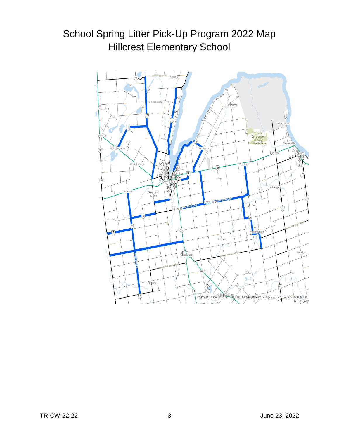# School Spring Litter Pick-Up Program 2022 Map Hillcrest Elementary School